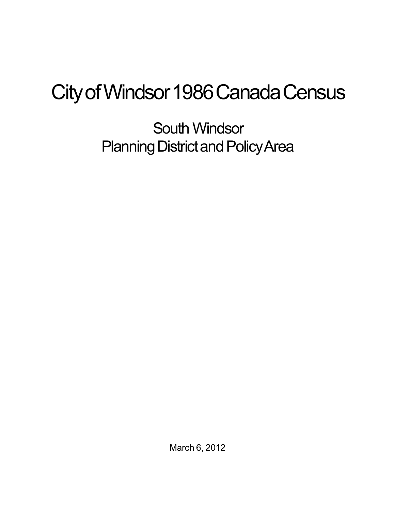## City of Windsor 1986 Canada Census

South Windsor Planning District and Policy Area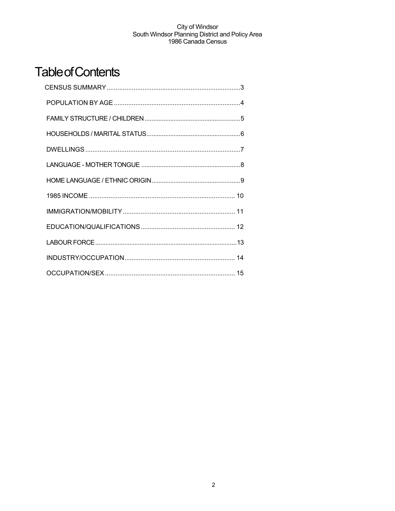## **Table of Contents**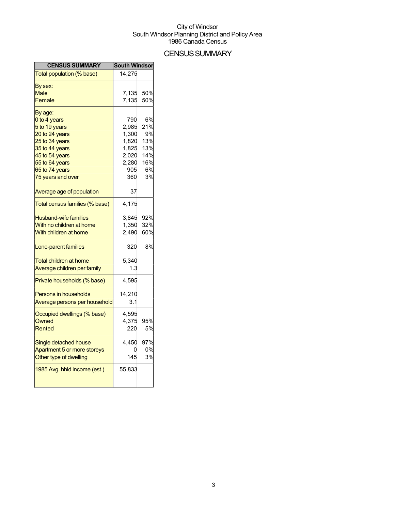## **CENSUS SUMMARY**

| <b>CENSUS SUMMARY</b>          | <b>South Windsor</b> |     |
|--------------------------------|----------------------|-----|
| Total population (% base)      | 14,275               |     |
| By sex:                        |                      |     |
| <b>Male</b>                    | 7,135                | 50% |
| Female                         | 7,135                | 50% |
| By age:                        |                      |     |
| 0 to 4 years                   | 790                  | 6%  |
| 5 to 19 years                  | 2,985                | 21% |
| 20 to 24 years                 | 1,300                | 9%  |
| 25 to 34 years                 | 1,820                | 13% |
| 35 to 44 years                 | 1,825                | 13% |
| 45 to 54 years                 | 2,020                | 14% |
| 55 to 64 years                 | 2,280                | 16% |
| 65 to 74 years                 | 905                  | 6%  |
| 75 years and over              | 360                  | 3%  |
| Average age of population      | 37                   |     |
| Total census families (% base) | 4,175                |     |
| <b>Husband-wife families</b>   | 3,845                | 92% |
| With no children at home       | 1,350                | 32% |
| With children at home          | 2,490                | 60% |
| Lone-parent families           | 320                  | 8%  |
| <b>Total children at home</b>  | 5,340                |     |
| Average children per family    | 1.3                  |     |
|                                |                      |     |
| Private households (% base)    | 4,595                |     |
| <b>Persons in households</b>   | 14,210               |     |
| Average persons per household  | 3.1                  |     |
| Occupied dwellings (% base)    | 4,595                |     |
| Owned                          | 4,375                | 95% |
| Rented                         | 220                  | 5%  |
| Single detached house          | 4,450                | 97% |
| Apartment 5 or more storeys    |                      | 0%  |
| Other type of dwelling         | 145                  | 3%  |
| 1985 Avg. hhld income (est.)   | 55,833               |     |
|                                |                      |     |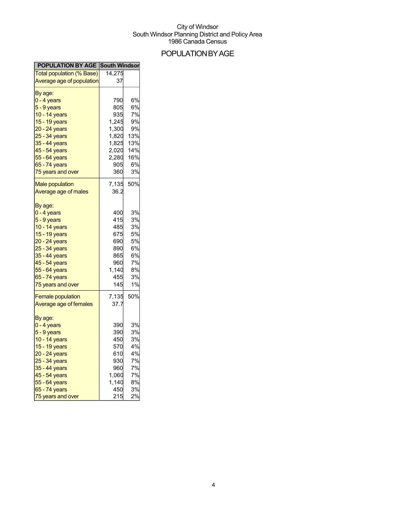## POPULATIONBYAGE

| <b>POPULATION BY AGE South Windson</b> |        |     |
|----------------------------------------|--------|-----|
| <b>Total population (% Base)</b>       | 14,275 |     |
| Average age of population              | 37     |     |
| By age:                                |        |     |
| $0 - 4$ years                          | 790    | 6%  |
| $5 - 9$ years                          | 805    | 6%  |
| 10 - 14 years                          | 935    | 7%  |
| 15 - 19 years                          | 1,245  | 9%  |
| 20 - 24 years                          | 1,300  | 9%  |
| 25 - 34 years                          | 1,820  | 13% |
| 35 - 44 years                          | 1,825  | 13% |
|                                        |        | 14% |
| 45 - 54 years<br>55 - 64 years         | 2,020  |     |
|                                        | 2,280  | 16% |
| 65 - 74 years                          | 905    | 6%  |
| 75 years and over                      | 360    | 3%  |
| <b>Male population</b>                 | 7,135  | 50% |
| Average age of males                   | 36.2   |     |
|                                        |        |     |
| By age:<br>$0 - 4$ years               | 400    | 3%  |
|                                        |        |     |
| $5 - 9$ years                          | 415    | 3%  |
| 10 - 14 years                          | 485    | 3%  |
| 15 - 19 years                          | 675    | 5%  |
| 20 - 24 years                          | 690    | 5%  |
| 25 - 34 years                          | 890    | 6%  |
| 35 - 44 years                          | 865    | 6%  |
| 45 - 54 years                          | 960    | 7%  |
| 55 - 64 years                          | 1,140  | 8%  |
| 65 - 74 years                          | 455    | 3%  |
| 75 years and over                      | 145    | 1%  |
| <b>Female population</b>               | 7,135  | 50% |
| Average age of females                 | 37.7   |     |
|                                        |        |     |
| By age:<br>$0 - 4$ years               | 390    | 3%  |
| 5 - 9 years                            | 390    | 3%  |
| 10 - 14 years                          | 450    | 3%  |
|                                        |        |     |
| 15 - 19 years                          | 570    | 4%  |
| <u>20 - 24 years</u>                   | 610    | 4%  |
| 25 - 34 years                          | 930    | 7%  |
| 35 - 44 years                          | 960    | 7%  |
| 45 - 54 years                          | 1,060  | 7%  |
| 55 - 64 years                          | 1,140  | 8%  |
| 65 - 74 years                          | 450    | 3%  |
| 75 years and over                      | 215    | 2%  |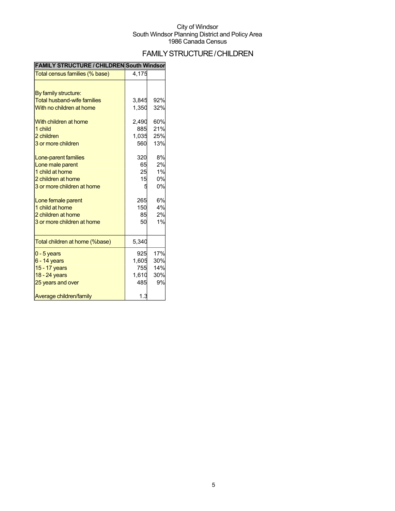## FAMILYSTRUCTURE/CHILDREN

| FAMILT STRUCTURE / CHILDREN SOUTH WINGSON |       |     |
|-------------------------------------------|-------|-----|
| Total census families (% base)            | 4,175 |     |
|                                           |       |     |
| By family structure:                      |       |     |
| <b>Total husband-wife families</b>        | 3,845 | 92% |
| With no children at home                  | 1,350 | 32% |
| With children at home                     | 2,490 | 60% |
| 1 child                                   | 885   | 21% |
| 2 children                                | 1,035 | 25% |
| 3 or more children                        | 560   | 13% |
| Lone-parent families                      | 320   | 8%  |
| Lone male parent                          | 65    | 2%  |
| 1 child at home                           | 25    | 1%  |
| 2 children at home                        | 15    | 0%  |
| 3 or more children at home                | 5     | 0%  |
| Lone female parent                        | 265   | 6%  |
| 1 child at home                           | 150   | 4%  |
| 2 children at home                        | 85    | 2%  |
| 3 or more children at home                | 50    | 1%  |
| Total children at home (%base)            | 5,340 |     |
| $0 - 5$ years                             | 925   | 17% |
| $6 - 14$ years                            | 1,605 | 30% |
| 15 - 17 years                             | 755   | 14% |
| 18 - 24 years                             | 1,610 | 30% |
| 25 years and over                         | 485   | 9%  |
| Average children/family                   | 1.3   |     |

### **FAMILY STRUCTURE / CHILDREN South Windsor**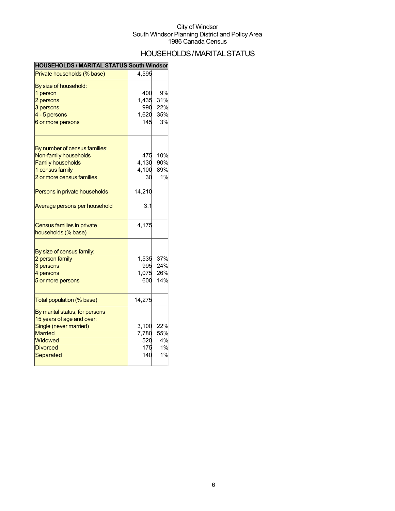## HOUSEHOLDS/MARITALSTATUS

| <b>HOUSEHOLDS / MARITAL STATUS South Windson</b> |        |     |
|--------------------------------------------------|--------|-----|
| Private households (% base)                      | 4,595  |     |
| By size of household:                            |        |     |
| 1 person                                         | 400    | 9%  |
| 2 persons                                        | 1,435  | 31% |
| 3 persons                                        | 990    | 22% |
| 4 - 5 persons                                    | 1,620  | 35% |
| 6 or more persons                                | 145    | 3%  |
| By number of census families:                    |        |     |
| Non-family households                            | 475    | 10% |
| <b>Family households</b>                         | 4,130  | 90% |
| 1 census family                                  | 4,100  | 89% |
| 2 or more census families                        | 30     | 1%  |
| Persons in private households                    | 14,210 |     |
| Average persons per household                    | 3.1    |     |
| <b>Census families in private</b>                | 4,175  |     |
| households (% base)                              |        |     |
| By size of census family:                        |        |     |
| 2 person family                                  | 1,535  | 37% |
| 3 persons                                        | 995    | 24% |
| 4 persons                                        | 1,075  | 26% |
| 5 or more persons                                | 600    | 14% |
| Total population (% base)                        | 14,275 |     |
|                                                  |        |     |
| By marital status, for persons                   |        |     |
| 15 years of age and over:                        |        |     |
| Single (never married)                           | 3,100  | 22% |
| <b>Married</b>                                   | 7,780  | 55% |
| Widowed                                          | 520    | 4%  |
| <b>Divorced</b>                                  | 175    | 1%  |
| Separated                                        | 140    | 1%  |
|                                                  |        |     |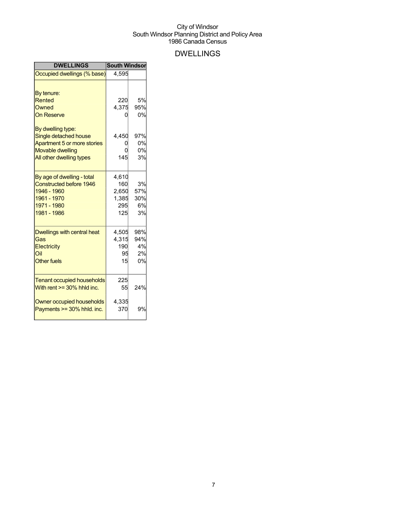## DWELLINGS

| <b>DWELLINGS</b>                  | <b>South Windsor</b> |     |
|-----------------------------------|----------------------|-----|
| Occupied dwellings (% base)       | 4,595                |     |
|                                   |                      |     |
| By tenure:                        |                      |     |
| Rented                            | 220                  | 5%  |
| Owned                             | 4,375                | 95% |
| <b>On Reserve</b>                 |                      | 0%  |
| By dwelling type:                 |                      |     |
| Single detached house             | 4,450                | 97% |
| Apartment 5 or more stories       |                      | 0%  |
| <b>Movable dwelling</b>           |                      | 0%  |
| All other dwelling types          | 145                  | 3%  |
| By age of dwelling - total        | 4,610                |     |
| <b>Constructed before 1946</b>    | 160                  | 3%  |
| 1946 - 1960                       | 2,650                | 57% |
| 1961 - 1970                       | 1,385                | 30% |
| 1971 - 1980                       | 295                  | 6%  |
| 1981 - 1986                       | 125                  | 3%  |
| Dwellings with central heat       | 4,505                | 98% |
| Gas                               | 4,315                | 94% |
| Electricity                       | 190                  | 4%  |
| Oil                               | 95                   | 2%  |
| <b>Other fuels</b>                | 15                   | 0%  |
|                                   |                      |     |
| <b>Tenant occupied households</b> | 225                  |     |
| With rent $>=$ 30% hhld inc.      | 55                   | 24% |
| Owner occupied households         | 4,335                |     |
| Payments >= 30% hhld. inc.        | 370                  | 9%  |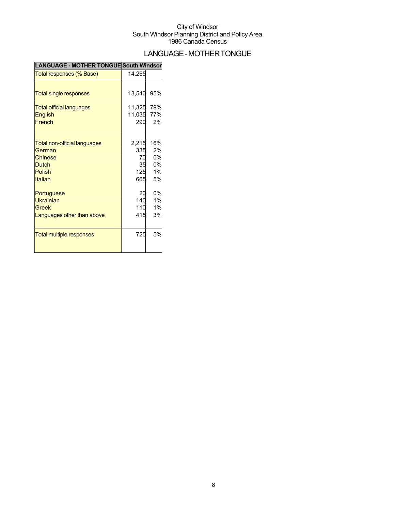## LANGUAGE-MOTHERTONGUE

| <b>LANGUAGE - MOTHER TONGUE South Windsor</b> |        |     |
|-----------------------------------------------|--------|-----|
| Total responses (% Base)                      | 14,265 |     |
|                                               |        |     |
| Total single responses                        | 13,540 | 95% |
| <b>Total official languages</b>               | 11,325 | 79% |
| <b>English</b>                                | 11,035 | 77% |
| French                                        | 290    | 2%  |
|                                               |        |     |
| <b>Total non-official languages</b>           | 2,215  | 16% |
| German                                        | 335    | 2%  |
| Chinese                                       | 70     | 0%  |
| <b>Dutch</b>                                  | 35     | 0%  |
| Polish                                        | 125    | 1%  |
| <b>Italian</b>                                | 665    | 5%  |
| Portuguese                                    | 20     | 0%  |
| Ukrainian                                     | 140    | 1%  |
| Greek                                         | 110    | 1%  |
| Languages other than above                    | 415    | 3%  |
| <b>Total multiple responses</b>               | 725    | 5%  |
|                                               |        |     |
|                                               |        |     |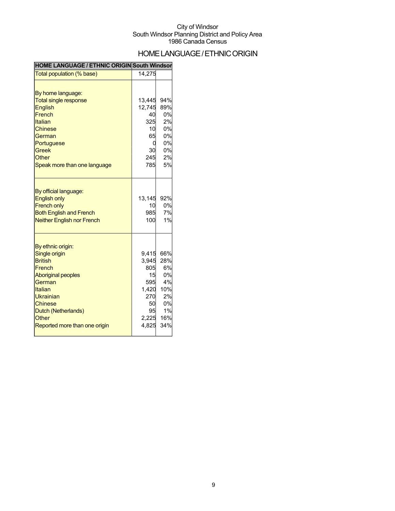## HOME LANGUAGE / ETHNIC ORIGIN

#### **HOME LANGUAGE / ETHNIC ORIGIN South Windsor**

| Total population (% base)                 | 14,275    |           |
|-------------------------------------------|-----------|-----------|
|                                           |           |           |
| By home language:                         |           |           |
| <b>Total single response</b>              | 13,445    | 94%       |
| English                                   | 12,745    | 89%       |
| French                                    | 40        | 0%        |
| Italian                                   | 325       | 2%        |
| <b>Chinese</b>                            | 10        | 0%        |
| German                                    | 65        | 0%        |
| Portuguese                                | 0         | 0%        |
| <b>Greek</b>                              | 30        | 0%        |
| Other                                     | 245       | 2%        |
| Speak more than one language              | 785       | 5%        |
|                                           |           |           |
| By official language:                     |           |           |
| <b>English only</b><br><b>French only</b> | 13,145    | 92%<br>0% |
| <b>Both English and French</b>            | 10<br>985 | 7%        |
| <b>Neither English nor French</b>         | 100       | 1%        |
|                                           |           |           |
| By ethnic origin:                         |           |           |
| Single origin                             | 9.415     | 66%       |
| <b>British</b>                            | 3,945     | 28%       |
| French                                    | 805       | 6%        |
| <b>Aboriginal peoples</b>                 | 15        | 0%        |
| German                                    | 595       | 4%        |
| Italian                                   | 1,420     | 10%       |
| Ukrainian                                 | 270       | 2%        |
| Chinese                                   | 50        | 0%        |
| Dutch (Netherlands)                       | 95        | 1%        |
| Other                                     | 2,225     | 16%       |
| Reported more than one origin             | 4,825     | 34%       |
|                                           |           |           |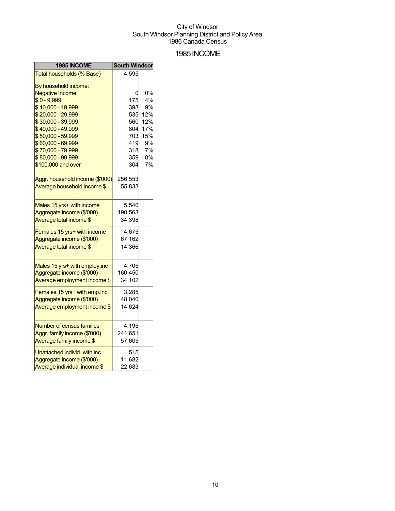### 1985INCOME

| 1985 INCOME                     | <b>South Windsor</b> |     |
|---------------------------------|----------------------|-----|
| Total households (% Base)       | 4,595                |     |
| By household income:            |                      |     |
| <b>Negative Income</b>          |                      | 0%  |
| $$0 - 9,999$                    | 175                  | 4%  |
| \$10,000 - 19,999               | 393                  | 9%  |
| \$20,000 - 29,999               | 535                  | 12% |
| \$30,000 - 39,999               | 560                  | 12% |
| \$40,000 - 49,999               | 804                  | 17% |
| \$50,000 - 59,999               | 703                  | 15% |
| \$60,000 - 69,999               | 419                  | 9%  |
| \$70,000 - 79,999               | 318                  | 7%  |
| \$80,000 - 99,999               | 359                  | 8%  |
| \$100,000 and over              | 304                  | 7%  |
| Aggr. household income (\$'000) | 256,553              |     |
| Average household income \$     | 55,833               |     |
|                                 |                      |     |
| Males 15 yrs+ with income       | 5,540                |     |
| Aggregate income (\$'000)       | 190,563              |     |
| Average total income \$         | 34,398               |     |
| Females 15 yrs+ with income     | 4,675                |     |
| Aggregate income (\$'000)       | 67,162               |     |
| Average total income \$         | 14,366               |     |
|                                 |                      |     |
| Males 15 yrs+ with employ.inc   | 4,705                |     |
| Aggregate income (\$'000)       | 160,450              |     |
| Average employment income \$    | 34,102               |     |
| Females 15 yrs+ with emp.inc.   | 3,285                |     |
| Aggregate income (\$'000)       | 48,040               |     |
| Average employment income \$    | 14,624               |     |
|                                 |                      |     |
| Number of census families       | 4,195                |     |
| Aggr. family income (\$'000)    | 241,651              |     |
| Average family income \$        | 57,605               |     |
| Unattached individ, with inc.   | 515                  |     |
| Aggregate income (\$'000)       | 11,682               |     |
| Average individual income \$    | 22,683               |     |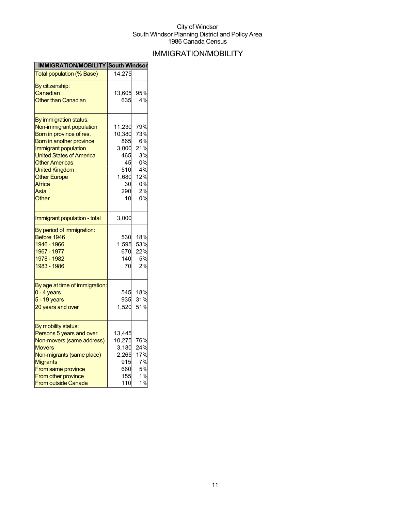## IMMIGRATION/MOBILITY

| <b>IMMIGRATION/MOBILITY South Windsor</b> |        |           |
|-------------------------------------------|--------|-----------|
| <b>Total population (% Base)</b>          | 14,275 |           |
| By citizenship:                           |        |           |
| Canadian                                  | 13,605 | 95%       |
| <b>Other than Canadian</b>                | 635    | 4%        |
|                                           |        |           |
| By immigration status:                    |        |           |
| Non-immigrant population                  | 11,230 | 79%       |
| Born in province of res.                  | 10,380 | 73%       |
| Born in another province                  | 865    | 6%        |
| Immigrant population                      | 3.000  | 21%       |
| <b>United States of America</b>           | 465    | 3%        |
| <b>Other Americas</b>                     | 45     | 0%        |
| <b>United Kingdom</b>                     | 510    | 4%        |
| <b>Other Europe</b>                       | 1,680  | 12%       |
| <b>Africa</b>                             | 30     | 0%        |
| Asia                                      | 290    | 2%        |
| Other                                     | 10     | 0%        |
|                                           |        |           |
| Immigrant population - total              | 3,000  |           |
| By period of immigration:                 |        |           |
| Before 1946                               | 530    | 18%       |
| 1946 - 1966                               | 1,595  | 53%       |
| 1967 - 1977                               | 670    | 22%       |
| 1978 - 1982                               | 140    | <b>5%</b> |
| 1983 - 1986                               | 70     | 2%        |
|                                           |        |           |
| By age at time of immigration:            |        |           |
| 0 - 4 years                               | 545    | 18%       |
| $5 - 19$ years                            | 935    | 31%       |
| 20 years and over                         | 1,520  | 51%       |
|                                           |        |           |
| By mobility status:                       |        |           |
| Persons 5 years and over                  | 13,445 |           |
| Non-movers (same address)                 | 10,275 | 76%       |
| <b>Movers</b>                             | 3,180  | 24%       |
| Non-migrants (same place)                 | 2,265  | 17%       |
| <b>Migrants</b>                           | 915    | 7%        |
| From same province                        | 660    | 5%        |
| From other province                       | 155    | 1%        |
| <b>From outside Canada</b>                | 110    | 1%        |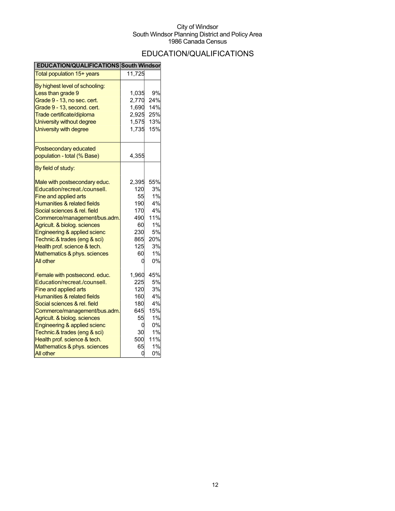## EDUCATION/QUALIFICATIONS

| <b>EDUCATION/QUALIFICATIONS South Windsor</b>                                                                                                                                                                                                                                                                                                                                        |                                                                               |                                                                         |
|--------------------------------------------------------------------------------------------------------------------------------------------------------------------------------------------------------------------------------------------------------------------------------------------------------------------------------------------------------------------------------------|-------------------------------------------------------------------------------|-------------------------------------------------------------------------|
| Total population 15+ years                                                                                                                                                                                                                                                                                                                                                           | 11,725                                                                        |                                                                         |
| By highest level of schooling:<br>Less than grade 9<br>Grade 9 - 13, no sec. cert.<br>Grade 9 - 13, second. cert.<br>Trade certificate/diploma<br>University without degree<br>University with degree                                                                                                                                                                                | 1,035<br>2,770<br>1,690<br>2,925<br>1,575<br>1,735                            | 9%<br>24%<br>14%<br>25%<br>13%<br>15%                                   |
| Postsecondary educated<br>population - total (% Base)                                                                                                                                                                                                                                                                                                                                | 4,355                                                                         |                                                                         |
| By field of study:                                                                                                                                                                                                                                                                                                                                                                   |                                                                               |                                                                         |
| Male with postsecondary educ.<br>Education/recreat./counsell.<br>Fine and applied arts<br><b>Humanities &amp; related fields</b><br>Social sciences & rel. field<br>Commerce/management/bus.adm.<br>Agricult. & biolog. sciences<br>Engineering & applied scienc<br>Technic.& trades (eng & sci)<br>Health prof. science & tech.<br>Mathematics & phys. sciences<br><b>All other</b> | 2,395<br>120<br>55<br>190<br>170<br>490<br>60<br>230<br>865<br>125<br>60<br>0 | 55%<br>3%<br>1%<br>4%<br>4%<br>11%<br>1%<br>5%<br>20%<br>3%<br>1%<br>0% |
| Female with postsecond. educ.<br>Education/recreat./counsell.<br>Fine and applied arts<br><b>Humanities &amp; related fields</b><br>Social sciences & rel. field<br>Commerce/management/bus.adm.<br>Agricult. & biolog. sciences<br>Engineering & applied scienc<br>Technic.& trades (eng & sci)<br>Health prof. science & tech.<br>Mathematics & phys. sciences<br><b>All other</b> | 1,960<br>225<br>120<br>160<br>180<br>645<br>55<br>0<br>30<br>500<br>65<br>0   | 45%<br>5%<br>3%<br>4%<br>4%<br>15%<br>1%<br>0%<br>1%<br>11%<br>1%<br>0% |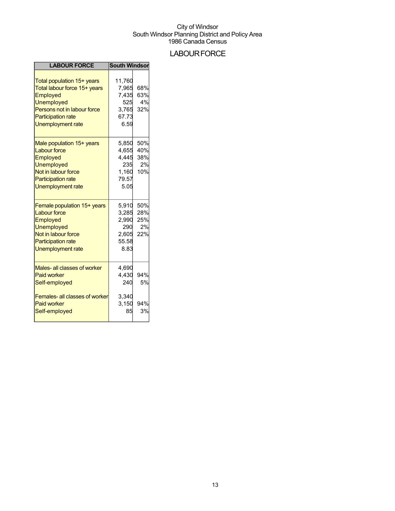## **LABOUR FORCE**

| <b>LABOUR FORCE</b>                                                                                                                                                   | <b>South Windsor</b>                                      |                                |
|-----------------------------------------------------------------------------------------------------------------------------------------------------------------------|-----------------------------------------------------------|--------------------------------|
| Total population 15+ years<br>Total labour force 15+ years<br>Employed<br>Unemployed<br>Persons not in labour force<br><b>Participation rate</b><br>Unemployment rate | 11,760<br>7,965<br>7,435<br>525<br>3,765<br>67.73<br>6.59 | 68%<br>63%<br>4%<br>32%        |
| Male population 15+ years<br><b>Labour force</b><br>Employed<br>Unemployed<br>Not in labour force<br><b>Participation rate</b><br>Unemployment rate                   | 5,850<br>4.655<br>4,445<br>235<br>1,160<br>79.57<br>5.05  | 50%<br>40%<br>38%<br>2%<br>10% |
| Female population 15+ years<br><b>Labour force</b><br>Employed<br>Unemployed<br>Not in labour force<br><b>Participation rate</b><br>Unemployment rate                 | 5,910<br>3,285<br>2,990<br>290<br>2,605<br>55.58<br>8.83  | 50%<br>28%<br>25%<br>2%<br>22% |
| Males- all classes of worker<br><b>Paid worker</b><br>Self-employed                                                                                                   | 4,690<br>4,430<br>240                                     | 94%<br>5%                      |
| <b>Females-all classes of worker</b><br><b>Paid worker</b><br>Self-employed                                                                                           | 3,340<br>3,150<br>85                                      | 94%<br>3%                      |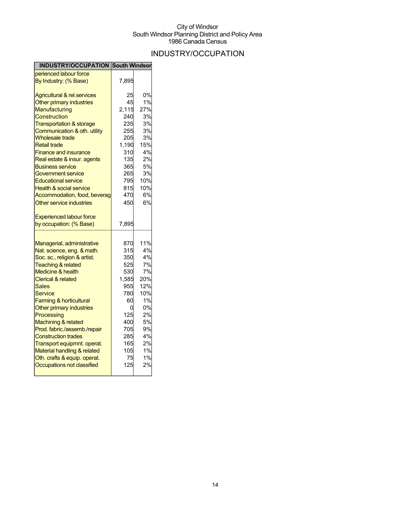## INDUSTRY/OCCUPATION

| <b>INDUSTRY/OCCUPATION South Windson</b>                 |            |     |
|----------------------------------------------------------|------------|-----|
| perienced labour force                                   |            |     |
| By Industry: (% Base)                                    | 7,895      |     |
| <b>Agricultural &amp; rel.services</b>                   | 25         | 0%  |
| Other primary industries                                 | 45         | 1%  |
| <b>Manufacturing</b>                                     | 2,115      | 27% |
| Construction                                             | 240        | 3%  |
| <b>Transportation &amp; storage</b>                      | 235        | 3%  |
| Communication & oth. utility                             | 255        | 3%  |
| <b>Wholesale trade</b>                                   | 205        | 3%  |
| <b>Retail trade</b>                                      | 1,190      | 15% |
| <b>Finance and insurance</b>                             | 310        | 4%  |
| Real estate & insur. agents                              | 135        | 2%  |
| <b>Business service</b>                                  | 365        | 5%  |
| Government service                                       | 265        | 3%  |
| <b>Educational service</b>                               | 795        | 10% |
| <b>Health &amp; social service</b>                       | 815        | 10% |
| Accommodation, food, beverag                             | 470        | 6%  |
| Other service industries                                 | 450        | 6%  |
| <b>Experienced labour force</b>                          |            |     |
| by occupation: (% Base)                                  | 7,895      |     |
|                                                          |            | 11% |
| Managerial, administrative<br>Nat. science, eng. & math. | 870<br>315 | 4%  |
| Soc. sc., religion & artist.                             | 350        | 4%  |
| <b>Teaching &amp; related</b>                            | 525        | 7%  |
| <b>Medicine &amp; health</b>                             | 530        | 7%  |
| <b>Clerical &amp; related</b>                            | 1,585      | 20% |
| Sales                                                    | 955        | 12% |
| Service                                                  | 780        | 10% |
| <b>Farming &amp; horticultural</b>                       | 60         | 1%  |
| Other primary industries                                 | 0          | 0%  |
| Processing                                               | 125        | 2%  |
| Machining & related                                      | 400        | 5%  |
| Prod. fabric./assemb./repair                             | 705        | 9%  |
| <b>Construction trades</b>                               | 285        | 4%  |
| Transport equipmnt. operat.                              | 165        | 2%  |
| Material handling & related                              | 105        | 1%  |
| Oth. crafts & equip. operat.                             | 75         | 1%  |
| Occupations not classified                               | 125        | 2%  |
|                                                          |            |     |